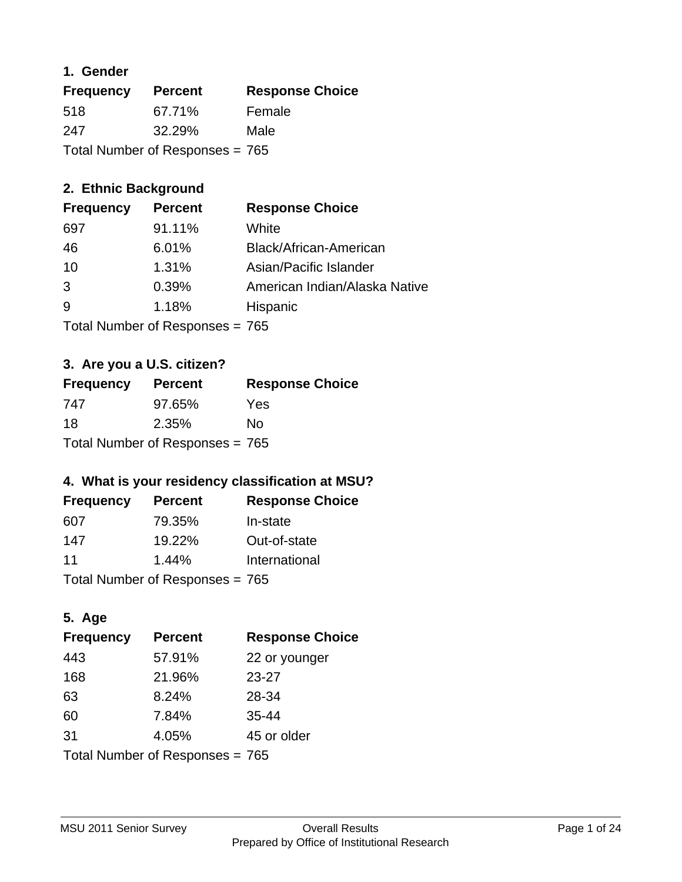## **1. Gender**

| <b>Frequency</b>                | <b>Percent</b> | <b>Response Choice</b> |
|---------------------------------|----------------|------------------------|
| 518                             | 67.71%         | Female                 |
| 247                             | 32.29%         | Male                   |
| Total Number of Responses = 765 |                |                        |

## **2. Ethnic Background**

| <b>Frequency</b> | <b>Percent</b>                  | <b>Response Choice</b>        |
|------------------|---------------------------------|-------------------------------|
| 697              | 91.11%                          | White                         |
| 46               | 6.01%                           | Black/African-American        |
| 10               | 1.31%                           | Asian/Pacific Islander        |
| 3                | 0.39%                           | American Indian/Alaska Native |
| 9                | 1.18%                           | Hispanic                      |
|                  | Total Number of Responses = 765 |                               |

## **3. Are you a U.S. citizen?**

| <b>Frequency</b>                | <b>Percent</b> | <b>Response Choice</b> |
|---------------------------------|----------------|------------------------|
| 747                             | 97.65%         | Yes                    |
| 18                              | 2.35%          | Nο                     |
| Total Number of Responses = 765 |                |                        |

## **4. What is your residency classification at MSU?**

| <b>Frequency</b> | <b>Percent</b>                  | <b>Response Choice</b> |
|------------------|---------------------------------|------------------------|
| 607              | 79.35%                          | In-state               |
| 147              | 19.22%                          | Out-of-state           |
| 11               | $1.44\%$                        | International          |
|                  | Total Number of Responses = 765 |                        |

**5. Age**

| <b>Frequency</b>                | <b>Percent</b> | <b>Response Choice</b> |
|---------------------------------|----------------|------------------------|
| 443                             | 57.91%         | 22 or younger          |
| 168                             | 21.96%         | $23 - 27$              |
| 63                              | 8.24%          | 28-34                  |
| 60                              | 7.84%          | $35 - 44$              |
| 31                              | 4.05%          | 45 or older            |
| Total Number of Responses = 765 |                |                        |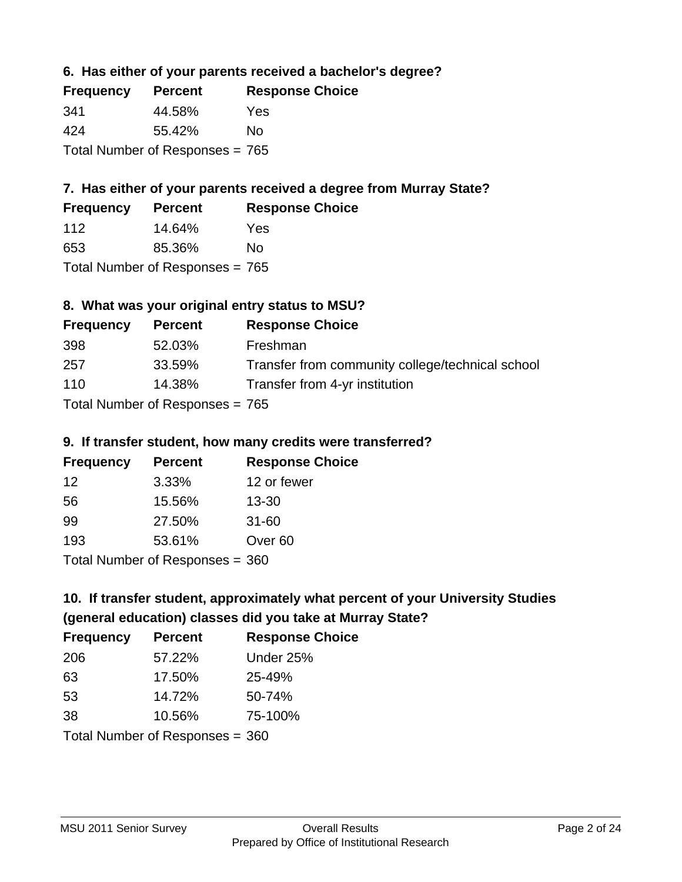### **6. Has either of your parents received a bachelor's degree?**

| <b>Frequency</b> | <b>Percent</b>                  | <b>Response Choice</b> |
|------------------|---------------------------------|------------------------|
| 341              | 44.58%                          | Yes                    |
| 424              | 55.42%                          | Nο                     |
|                  | Total Number of Responses = 765 |                        |

## **7. Has either of your parents received a degree from Murray State?**

| <b>Frequency</b> | <b>Percent</b> | <b>Response Choice</b> |
|------------------|----------------|------------------------|
| 112              | 14.64%         | Yes                    |
| 653              | 85.36%         | Nο                     |
|                  |                |                        |

Total Number of Responses = 765

### **8. What was your original entry status to MSU?**

| <b>Frequency</b> | <b>Percent</b>                    | <b>Response Choice</b>                           |
|------------------|-----------------------------------|--------------------------------------------------|
| 398              | 52.03%                            | Freshman                                         |
| 257              | 33.59%                            | Transfer from community college/technical school |
| 110              | 14.38%                            | Transfer from 4-yr institution                   |
|                  | Total Number of Responses = $765$ |                                                  |

## **9. If transfer student, how many credits were transferred?**

| <b>Frequency</b> | <b>Percent</b>                  | <b>Response Choice</b> |
|------------------|---------------------------------|------------------------|
| 12               | 3.33%                           | 12 or fewer            |
| 56               | 15.56%                          | $13 - 30$              |
| 99               | 27.50%                          | $31 - 60$              |
| 193              | 53.61%                          | Over <sub>60</sub>     |
|                  | Total Number of Responses — 360 |                        |

 $T$ otal Number of Responses =  $360$ 

## **10. If transfer student, approximately what percent of your University Studies (general education) classes did you take at Murray State?**

| <b>Frequency</b>                | <b>Percent</b> | <b>Response Choice</b> |
|---------------------------------|----------------|------------------------|
| 206                             | 57.22%         | Under 25%              |
| 63                              | 17.50%         | 25-49%                 |
| 53                              | 14.72%         | 50-74%                 |
| 38                              | 10.56%         | 75-100%                |
| Total Number of Responses = 360 |                |                        |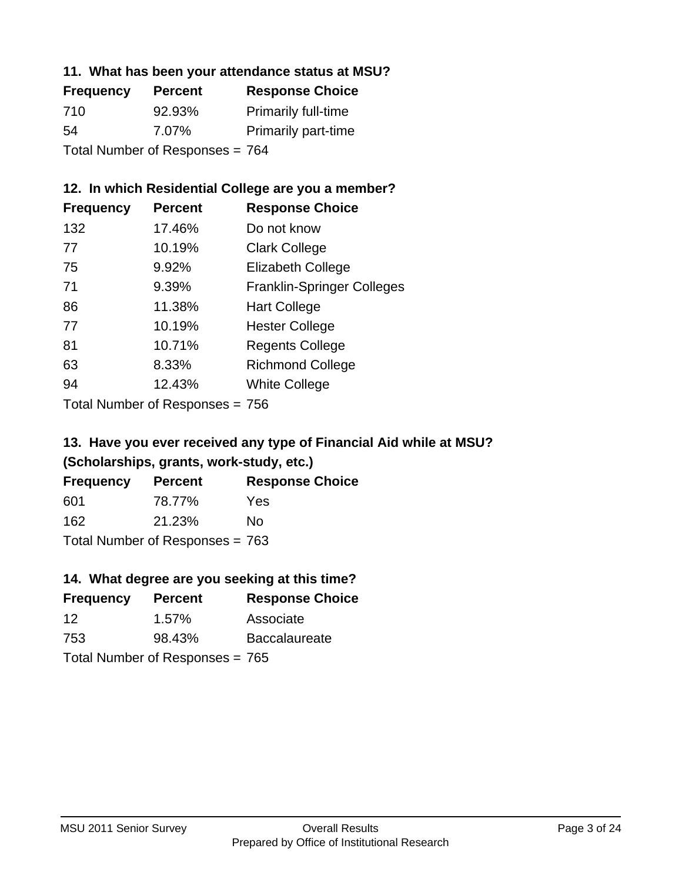### **11. What has been your attendance status at MSU?**

| <b>Frequency</b> | <b>Percent</b>                  | <b>Response Choice</b>     |
|------------------|---------------------------------|----------------------------|
| 710              | 92.93%                          | <b>Primarily full-time</b> |
| 54               | 7.07%                           | <b>Primarily part-time</b> |
|                  | Total Number of Responses = 764 |                            |

### **12. In which Residential College are you a member?**

| <b>Frequency</b> | <b>Percent</b> | <b>Response Choice</b>            |
|------------------|----------------|-----------------------------------|
| 132              | 17.46%         | Do not know                       |
| 77               | 10.19%         | <b>Clark College</b>              |
| 75               | 9.92%          | <b>Elizabeth College</b>          |
| 71               | 9.39%          | <b>Franklin-Springer Colleges</b> |
| 86               | 11.38%         | <b>Hart College</b>               |
| 77               | 10.19%         | <b>Hester College</b>             |
| 81               | 10.71%         | <b>Regents College</b>            |
| 63               | 8.33%          | <b>Richmond College</b>           |
| 94               | 12.43%         | <b>White College</b>              |
|                  |                |                                   |

Total Number of Responses = 756

## **13. Have you ever received any type of Financial Aid while at MSU? (Scholarships, grants, work-study, etc.)**

| Frequency | <b>Percent</b>                  | <b>Response Choice</b> |
|-----------|---------------------------------|------------------------|
| 601       | 78.77%                          | Yes                    |
| 162       | 21.23%                          | Nο                     |
|           | Total Number of Responses = 763 |                        |

### **14. What degree are you seeking at this time?**

| <b>Frequency</b> | <b>Percent</b>                  | <b>Response Choice</b> |
|------------------|---------------------------------|------------------------|
| 12               | $1.57\%$                        | Associate              |
| 753              | 98.43%                          | <b>Baccalaureate</b>   |
|                  | Total Number of Responses = 765 |                        |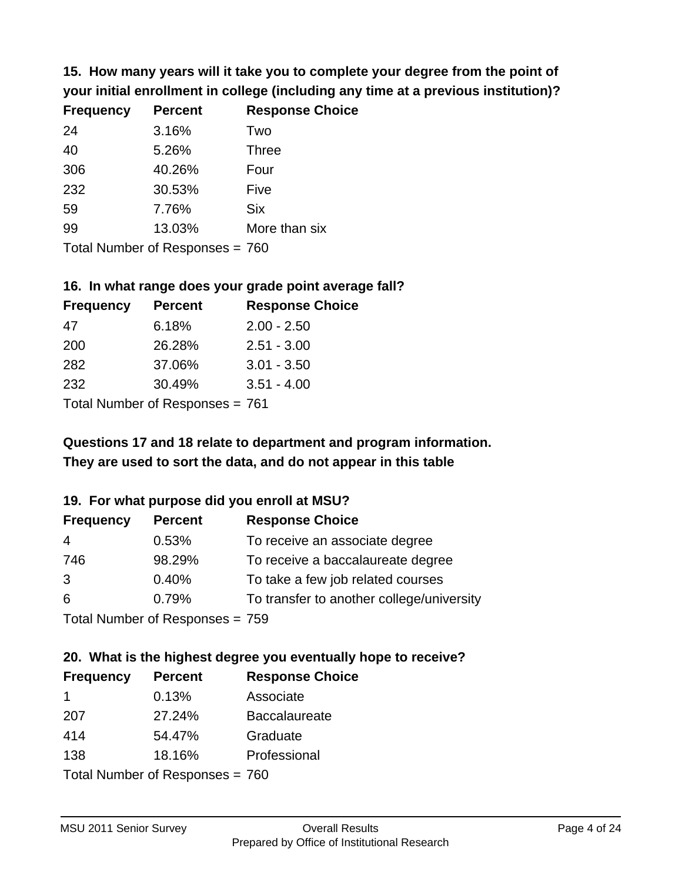**15. How many years will it take you to complete your degree from the point of your initial enrollment in college (including any time at a previous institution)?**

| <b>Frequency</b> | <b>Percent</b> | <b>Response Choice</b> |
|------------------|----------------|------------------------|
| 24               | 3.16%          | Two                    |
| 40               | 5.26%          | <b>Three</b>           |
| 306              | 40.26%         | Four                   |
| 232              | 30.53%         | Five                   |
| 59               | 7.76%          | <b>Six</b>             |
| 99               | 13.03%         | More than six          |
|                  |                |                        |

Total Number of Responses = 760

#### **16. In what range does your grade point average fall?**

| <b>Frequency</b> | <b>Percent</b>             | <b>Response Choice</b> |
|------------------|----------------------------|------------------------|
| 47               | 6.18%                      | $2.00 - 2.50$          |
| 200              | 26.28%                     | $2.51 - 3.00$          |
| 282              | 37.06%                     | $3.01 - 3.50$          |
| 232              | 30.49%                     | $3.51 - 4.00$          |
|                  | Tatal Number of Desperance |                        |

Total Number of Responses = 761

## **They are used to sort the data, and do not appear in this table Questions 17 and 18 relate to department and program information.**

### **19. For what purpose did you enroll at MSU?**

| <b>Frequency</b> | <b>Percent</b>                  | <b>Response Choice</b>                    |
|------------------|---------------------------------|-------------------------------------------|
| 4                | 0.53%                           | To receive an associate degree            |
| 746              | 98.29%                          | To receive a baccalaureate degree         |
| 3                | 0.40%                           | To take a few job related courses         |
| 6                | 0.79%                           | To transfer to another college/university |
|                  | Total Number of Responses = 759 |                                           |

#### **20. What is the highest degree you eventually hope to receive? Frequency Percent Response Choice**

| <b>Frequency</b> | rercent                         | <b>Response Und</b>  |
|------------------|---------------------------------|----------------------|
| $\mathbf 1$      | 0.13%                           | Associate            |
| 207              | 27.24%                          | <b>Baccalaureate</b> |
| 414              | 54.47%                          | Graduate             |
| 138              | 18.16%                          | Professional         |
|                  | Total Number of Responses = 760 |                      |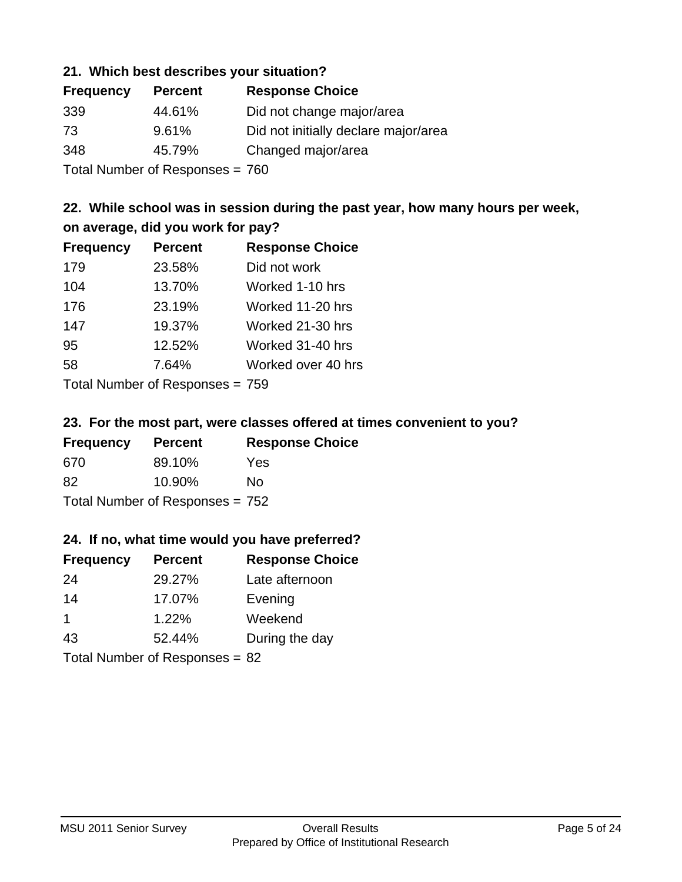### **21. Which best describes your situation?**

| <b>Frequency</b> | <b>Percent</b>                  | <b>Response Choice</b>               |
|------------------|---------------------------------|--------------------------------------|
| 339              | 44.61%                          | Did not change major/area            |
| 73               | 9.61%                           | Did not initially declare major/area |
| 348              | 45.79%                          | Changed major/area                   |
|                  | Total Number of Responses = 760 |                                      |

## **22. While school was in session during the past year, how many hours per week, on average, did you work for pay?**

| <b>Frequency</b> | <b>Percent</b> | <b>Response Choice</b> |
|------------------|----------------|------------------------|
| 179              | 23.58%         | Did not work           |
| 104              | 13.70%         | Worked 1-10 hrs        |
| 176              | 23.19%         | Worked 11-20 hrs       |
| 147              | 19.37%         | Worked 21-30 hrs       |
| 95               | 12.52%         | Worked 31-40 hrs       |
| 58               | 7.64%          | Worked over 40 hrs     |
|                  |                |                        |

Total Number of Responses = 759

### **23. For the most part, were classes offered at times convenient to you?**

| <b>Frequency</b> | <b>Percent</b>                  | <b>Response Choice</b> |
|------------------|---------------------------------|------------------------|
| 670              | 89.10%                          | Yes                    |
| 82               | 10.90%                          | Nο                     |
|                  | Total Number of Responses = 752 |                        |

### **24. If no, what time would you have preferred?**

| <b>Frequency</b>     | <b>Percent</b>                 | <b>Response Choice</b> |
|----------------------|--------------------------------|------------------------|
| 24                   | 29.27%                         | Late afternoon         |
| 14                   | 17.07%                         | Evening                |
| $\blacktriangleleft$ | 1.22%                          | Weekend                |
| 43                   | 52.44%                         | During the day         |
|                      | Total Number of Responses = 82 |                        |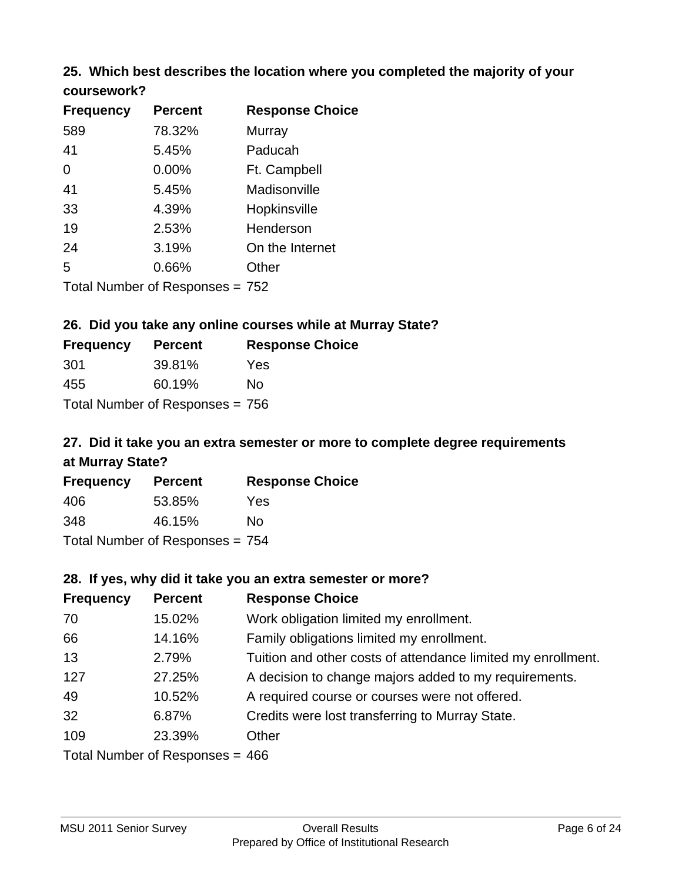# **25. Which best describes the location where you completed the majority of your**

| coursework? |  |
|-------------|--|
|-------------|--|

| <b>Frequency</b> | <b>Percent</b>                  | <b>Response Choice</b> |
|------------------|---------------------------------|------------------------|
| 589              | 78.32%                          | Murray                 |
| 41               | 5.45%                           | Paducah                |
| 0                | $0.00\%$                        | Ft. Campbell           |
| 41               | 5.45%                           | Madisonville           |
| 33               | 4.39%                           | Hopkinsville           |
| 19               | 2.53%                           | Henderson              |
| 24               | 3.19%                           | On the Internet        |
| 5                | 0.66%                           | Other                  |
|                  | Total Number of Responses = 752 |                        |

### **26. Did you take any online courses while at Murray State?**

| <b>Frequency</b> | <b>Percent</b>                  | <b>Response Choice</b> |
|------------------|---------------------------------|------------------------|
| 301              | 39.81%                          | Yes                    |
| 455              | 60.19%                          | No                     |
|                  | Total Number of Responses = 756 |                        |

## **27. Did it take you an extra semester or more to complete degree requirements at Murray State?**

| <b>Frequency</b> | <b>Percent</b>                  | <b>Response Choice</b> |
|------------------|---------------------------------|------------------------|
| 406              | 53.85%                          | Yes                    |
| 348              | 46.15%                          | No                     |
|                  | Total Number of Responses = 754 |                        |

### **28. If yes, why did it take you an extra semester or more?**

| <b>Frequency</b>                  | <b>Percent</b> | <b>Response Choice</b>                                       |  |
|-----------------------------------|----------------|--------------------------------------------------------------|--|
| 70                                | 15.02%         | Work obligation limited my enrollment.                       |  |
| 66                                | 14.16%         | Family obligations limited my enrollment.                    |  |
| 13                                | 2.79%          | Tuition and other costs of attendance limited my enrollment. |  |
| 127                               | 27.25%         | A decision to change majors added to my requirements.        |  |
| 49                                | 10.52%         | A required course or courses were not offered.               |  |
| 32                                | 6.87%          | Credits were lost transferring to Murray State.              |  |
| 109                               | 23.39%         | Other                                                        |  |
| Total Number of Responses = $466$ |                |                                                              |  |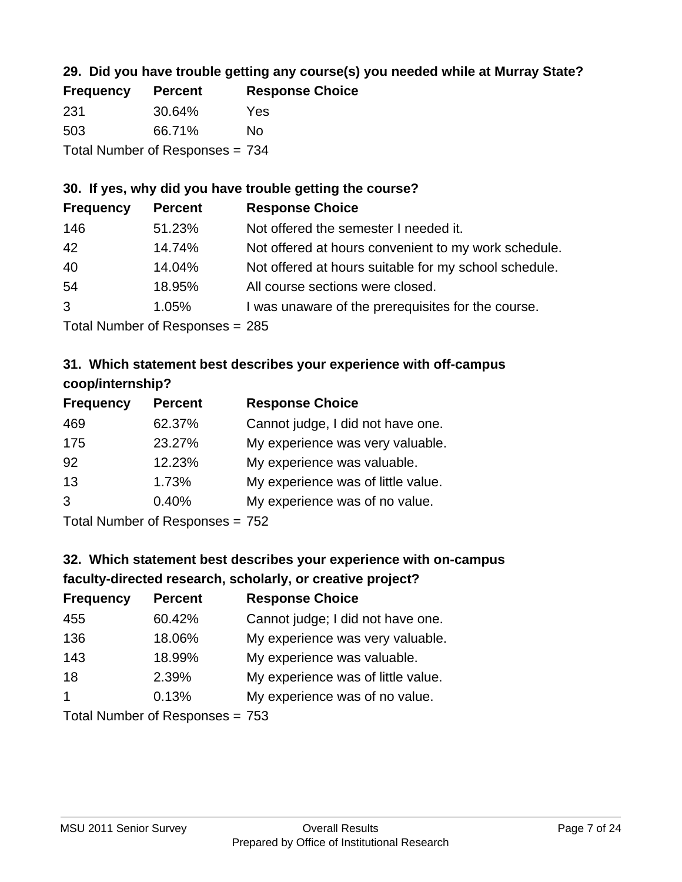## **29. Did you have trouble getting any course(s) you needed while at Murray State?**

| <b>Frequency</b> | <b>Percent</b>                  | <b>Response Choice</b> |
|------------------|---------------------------------|------------------------|
| -231             | 30.64%                          | Yes                    |
| 503              | 66.71%                          | Nο                     |
|                  | Total Number of Responses = 734 |                        |

## **30. If yes, why did you have trouble getting the course?**

| <b>Frequency</b> | <b>Percent</b>                                      | <b>Response Choice</b>                                |
|------------------|-----------------------------------------------------|-------------------------------------------------------|
| 146              | 51.23%                                              | Not offered the semester I needed it.                 |
| 42               | 14.74%                                              | Not offered at hours convenient to my work schedule.  |
| 40               | 14.04%                                              | Not offered at hours suitable for my school schedule. |
| 54               | 18.95%                                              | All course sections were closed.                      |
| 3                | 1.05%                                               | I was unaware of the prerequisites for the course.    |
|                  | $T_{\text{shell}}$ N, as b s at D separate $\Omega$ |                                                       |

Total Number of Responses = 285

## **31. Which statement best describes your experience with off-campus coop/internship?**

| <b>Frequency</b> | <b>Percent</b> | <b>Response Choice</b>             |
|------------------|----------------|------------------------------------|
| 469              | 62.37%         | Cannot judge, I did not have one.  |
| 175              | 23.27%         | My experience was very valuable.   |
| 92               | 12.23%         | My experience was valuable.        |
| 13               | 1.73%          | My experience was of little value. |
| 3                | 0.40%          | My experience was of no value.     |
|                  |                |                                    |

Total Number of Responses = 752

## **32. Which statement best describes your experience with on-campus faculty-directed research, scholarly, or creative project?**

| <b>Frequency</b> | <b>Percent</b>             | <b>Response Choice</b>             |
|------------------|----------------------------|------------------------------------|
| 455              | 60.42%                     | Cannot judge; I did not have one.  |
| 136              | 18.06%                     | My experience was very valuable.   |
| 143              | 18.99%                     | My experience was valuable.        |
| 18               | 2.39%                      | My experience was of little value. |
| $\mathbf 1$      | 0.13%                      | My experience was of no value.     |
|                  | Total Number of Desperance | ファヘ                                |

Total Number of Responses = 753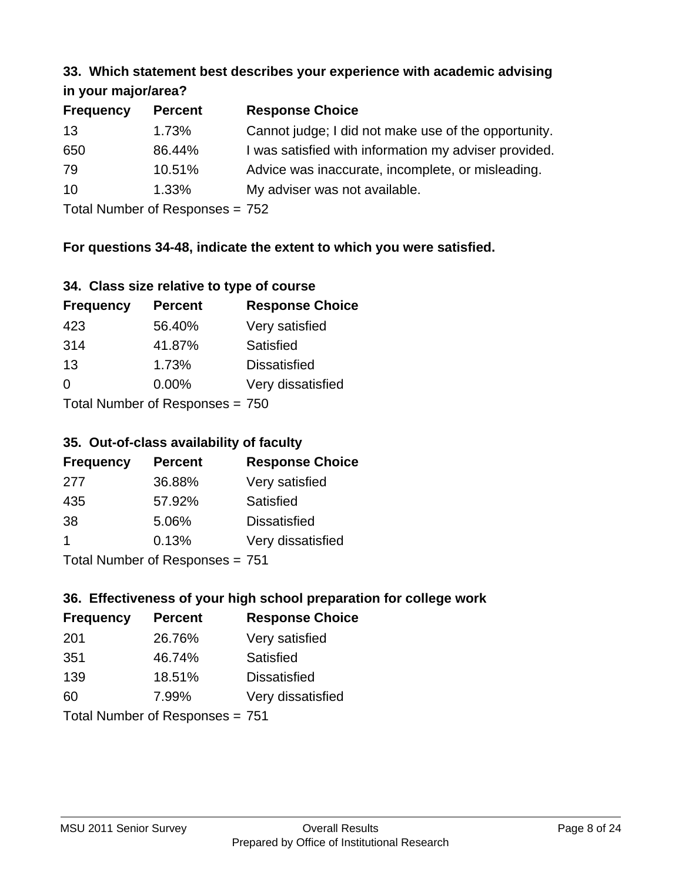# **33. Which statement best describes your experience with academic advising**

| in your major/area? |                |                                                       |  |  |
|---------------------|----------------|-------------------------------------------------------|--|--|
| <b>Frequency</b>    | <b>Percent</b> | <b>Response Choice</b>                                |  |  |
| 13                  | 1.73%          | Cannot judge; I did not make use of the opportunity.  |  |  |
| 650                 | 86.44%         | I was satisfied with information my adviser provided. |  |  |
| -79                 | 10.51%         | Advice was inaccurate, incomplete, or misleading.     |  |  |
| 10                  | 1.33%          | My adviser was not available.                         |  |  |

Total Number of Responses = 752

## **For questions 34-48, indicate the extent to which you were satisfied.**

| 34. Class size relative to type of course |  |  |  |  |  |  |  |  |
|-------------------------------------------|--|--|--|--|--|--|--|--|
|-------------------------------------------|--|--|--|--|--|--|--|--|

| <b>Frequency</b>                | <b>Percent</b> | <b>Response Choice</b> |  |  |
|---------------------------------|----------------|------------------------|--|--|
| 423                             | 56.40%         | Very satisfied         |  |  |
| 314                             | 41.87%         | <b>Satisfied</b>       |  |  |
| 13                              | 1.73%          | <b>Dissatisfied</b>    |  |  |
| ∩                               | 0.00%          | Very dissatisfied      |  |  |
| Total Number of Responses = 750 |                |                        |  |  |

### **35. Out-of-class availability of faculty**

| <b>Frequency</b>                 | <b>Percent</b> | <b>Response Choice</b> |  |  |
|----------------------------------|----------------|------------------------|--|--|
| 277                              | 36.88%         | Very satisfied         |  |  |
| 435                              | 57.92%         | <b>Satisfied</b>       |  |  |
| 38                               | 5.06%          | <b>Dissatisfied</b>    |  |  |
|                                  | 0.13%          | Very dissatisfied      |  |  |
| $Total Number of Denonose = 751$ |                |                        |  |  |

Total Number of Responses = 751

## **36. Effectiveness of your high school preparation for college work**

| <b>Frequency</b> | <b>Percent</b>                  | <b>Response Choice</b> |
|------------------|---------------------------------|------------------------|
| 201              | 26.76%                          | Very satisfied         |
| 351              | 46.74%                          | Satisfied              |
| 139              | 18.51%                          | <b>Dissatisfied</b>    |
| 60               | 7.99%                           | Very dissatisfied      |
|                  | Total Number of Responses = 751 |                        |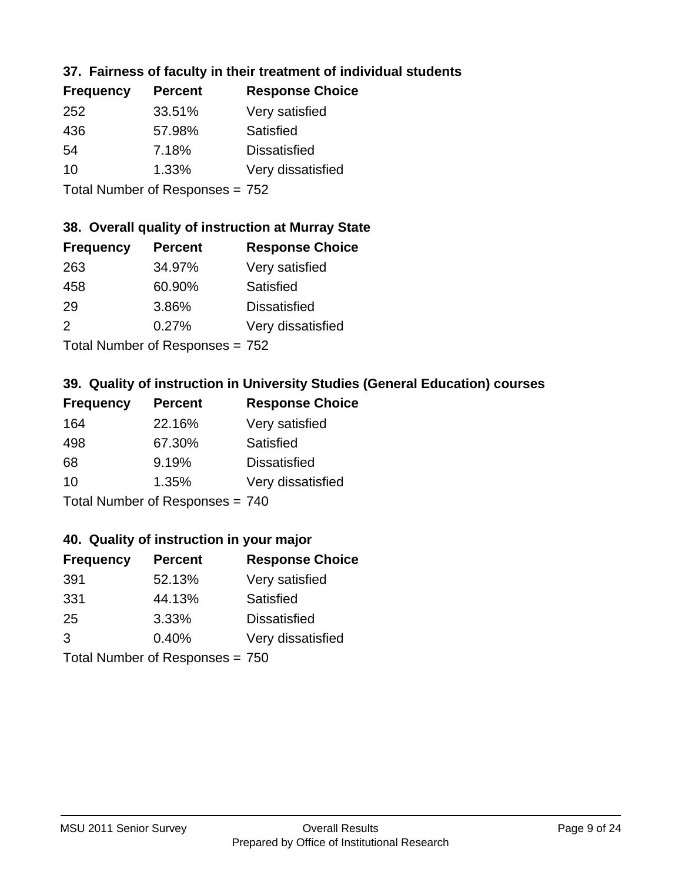## **37. Fairness of faculty in their treatment of individual students**

| <b>Frequency</b> | <b>Percent</b> | <b>Response Choice</b> |
|------------------|----------------|------------------------|
| 252              | 33.51%         | Very satisfied         |
| 436              | 57.98%         | Satisfied              |
| 54               | 7.18%          | <b>Dissatisfied</b>    |
| 10               | 1.33%          | Very dissatisfied      |
|                  |                |                        |

Total Number of Responses = 752

### **38. Overall quality of instruction at Murray State**

| <b>Frequency</b>                        | <b>Percent</b> | <b>Response Choice</b> |
|-----------------------------------------|----------------|------------------------|
| 263                                     | 34.97%         | Very satisfied         |
| 458                                     | 60.90%         | Satisfied              |
| 29                                      | 3.86%          | <b>Dissatisfied</b>    |
| $\mathcal{P}$                           | 0.27%          | Very dissatisfied      |
| $T$ at all Message and $D$ are a second |                |                        |

Total Number of Responses = 752

### **39. Quality of instruction in University Studies (General Education) courses**

| <b>Frequency</b> | <b>Percent</b>                  | <b>Response Choice</b> |
|------------------|---------------------------------|------------------------|
| 164              | 22.16%                          | Very satisfied         |
| 498              | 67.30%                          | Satisfied              |
| 68               | 9.19%                           | <b>Dissatisfied</b>    |
| 10               | 1.35%                           | Very dissatisfied      |
|                  | Total Number of Responses = 740 |                        |

#### **40. Quality of instruction in your major**

| <b>Frequency</b> | <b>Percent</b>                  | <b>Response Choice</b> |
|------------------|---------------------------------|------------------------|
| 391              | 52.13%                          | Very satisfied         |
| 331              | 44.13%                          | Satisfied              |
| 25               | 3.33%                           | <b>Dissatisfied</b>    |
| 3                | 0.40%                           | Very dissatisfied      |
|                  | Total Number of Responses = 750 |                        |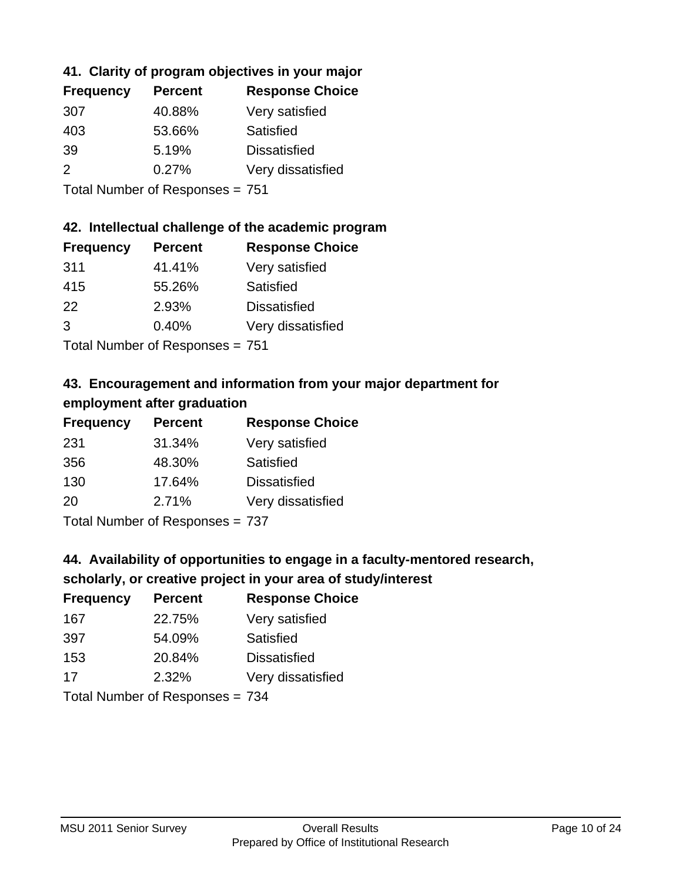## **41. Clarity of program objectives in your major**

| <b>Frequency</b> | <b>Percent</b> | <b>Response Choice</b> |
|------------------|----------------|------------------------|
| 307              | 40.88%         | Very satisfied         |
| 403              | 53.66%         | Satisfied              |
| 39               | 5.19%          | <b>Dissatisfied</b>    |
| $\mathcal{P}$    | 0.27%          | Very dissatisfied      |
|                  |                |                        |

Total Number of Responses = 751

### **42. Intellectual challenge of the academic program**

| <b>Frequency</b> | <b>Percent</b> | <b>Response Choice</b> |
|------------------|----------------|------------------------|
| 311              | 41.41%         | Very satisfied         |
| 415              | 55.26%         | Satisfied              |
| 22               | 2.93%          | <b>Dissatisfied</b>    |
| 3                | 0.40%          | Very dissatisfied      |
|                  |                |                        |

Total Number of Responses = 751

## **43. Encouragement and information from your major department for employment after graduation**

| <b>Frequency</b> | <b>Percent</b> | <b>Response Choice</b> |
|------------------|----------------|------------------------|
| 231              | 31.34%         | Very satisfied         |
| 356              | 48.30%         | Satisfied              |
| 130              | 17.64%         | <b>Dissatisfied</b>    |
| 20               | 2.71%          | Very dissatisfied      |
|                  |                |                        |

Total Number of Responses = 737

## **44. Availability of opportunities to engage in a faculty-mentored research,**

### **scholarly, or creative project in your area of study/interest**

| <b>Frequency</b> | <b>Percent</b> | <b>Response Choice</b> |
|------------------|----------------|------------------------|
| 167              | 22.75%         | Very satisfied         |
| 397              | 54.09%         | Satisfied              |
| 153              | 20.84%         | <b>Dissatisfied</b>    |
| 17               | 2.32%          | Very dissatisfied      |
|                  |                |                        |

Total Number of Responses = 734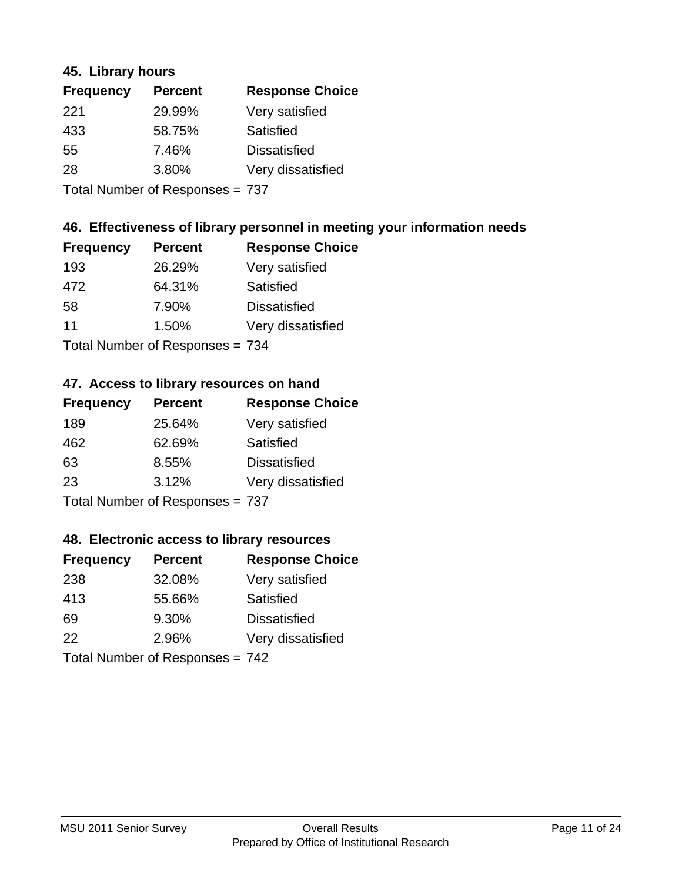### **45. Library hours**

| <b>Frequency</b> | <b>Percent</b> | <b>Response Choice</b> |
|------------------|----------------|------------------------|
| 221              | 29.99%         | Very satisfied         |
| 433              | 58.75%         | Satisfied              |
| 55               | 7.46%          | <b>Dissatisfied</b>    |
| 28               | 3.80%          | Very dissatisfied      |
|                  |                |                        |

Total Number of Responses = 737

### **46. Effectiveness of library personnel in meeting your information needs**

| <b>Frequency</b> | <b>Percent</b>             | <b>Response Choice</b> |
|------------------|----------------------------|------------------------|
| 193              | 26.29%                     | Very satisfied         |
| 472              | 64.31%                     | Satisfied              |
| 58               | 7.90%                      | <b>Dissatisfied</b>    |
| 11               | 1.50%                      | Very dissatisfied      |
|                  | Tatal Number of Desperance | ¬^ /                   |

Total Number of Responses = 734

### **47. Access to library resources on hand**

| <b>Frequency</b> | <b>Percent</b>                  | <b>Response Choice</b> |
|------------------|---------------------------------|------------------------|
| 189              | 25.64%                          | Very satisfied         |
| 462              | 62.69%                          | <b>Satisfied</b>       |
| 63               | 8.55%                           | <b>Dissatisfied</b>    |
| 23               | 3.12%                           | Very dissatisfied      |
|                  | Total Number of Responses = 737 |                        |

### **48. Electronic access to library resources**

| <b>Frequency</b> | <b>Percent</b>                  | <b>Response Choice</b> |
|------------------|---------------------------------|------------------------|
| 238              | 32.08%                          | Very satisfied         |
| 413              | 55.66%                          | Satisfied              |
| 69               | 9.30%                           | <b>Dissatisfied</b>    |
| 22               | 2.96%                           | Very dissatisfied      |
|                  | Total Number of Responses = 742 |                        |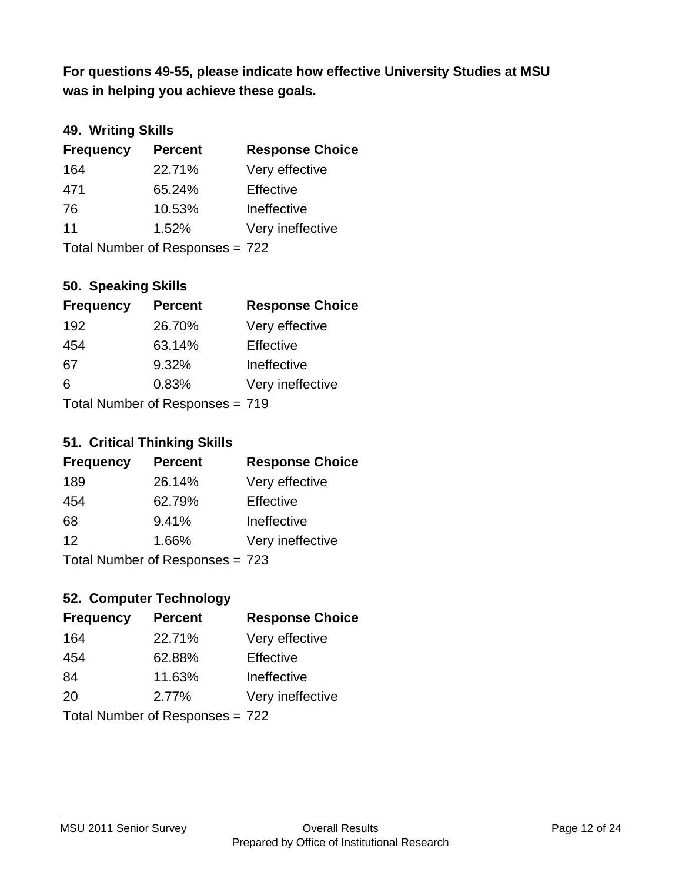**was in helping you achieve these goals. For questions 49-55, please indicate how effective University Studies at MSU** 

## **49. Writing Skills**

| <b>Frequency</b> | <b>Percent</b>                  | <b>Response Choice</b> |
|------------------|---------------------------------|------------------------|
| 164              | 22.71%                          | Very effective         |
| 471              | 65.24%                          | Effective              |
| 76               | 10.53%                          | Ineffective            |
| 11               | 1.52%                           | Very ineffective       |
|                  | Total Number of Responses = 722 |                        |

### **50. Speaking Skills**

| <b>Frequency</b> | <b>Percent</b>                  | <b>Response Choice</b> |
|------------------|---------------------------------|------------------------|
| 192              | 26.70%                          | Very effective         |
| 454              | 63.14%                          | Effective              |
| 67               | 9.32%                           | Ineffective            |
| 6                | 0.83%                           | Very ineffective       |
|                  | Total Number of Responses = 719 |                        |

### **51. Critical Thinking Skills**

| <b>Frequency</b> | <b>Percent</b>                  | <b>Response Choice</b> |
|------------------|---------------------------------|------------------------|
| 189              | 26.14%                          | Very effective         |
| 454              | 62.79%                          | Effective              |
| 68               | 9.41%                           | Ineffective            |
| 12               | 1.66%                           | Very ineffective       |
|                  | Total Number of Responses = 723 |                        |

## **52. Computer Technology**

| <b>Frequency</b> | <b>Percent</b>                  | <b>Response Choice</b> |
|------------------|---------------------------------|------------------------|
| 164              | 22.71%                          | Very effective         |
| 454              | 62.88%                          | Effective              |
| 84               | 11.63%                          | Ineffective            |
| 20               | 2.77%                           | Very ineffective       |
|                  | Total Number of Responses = 722 |                        |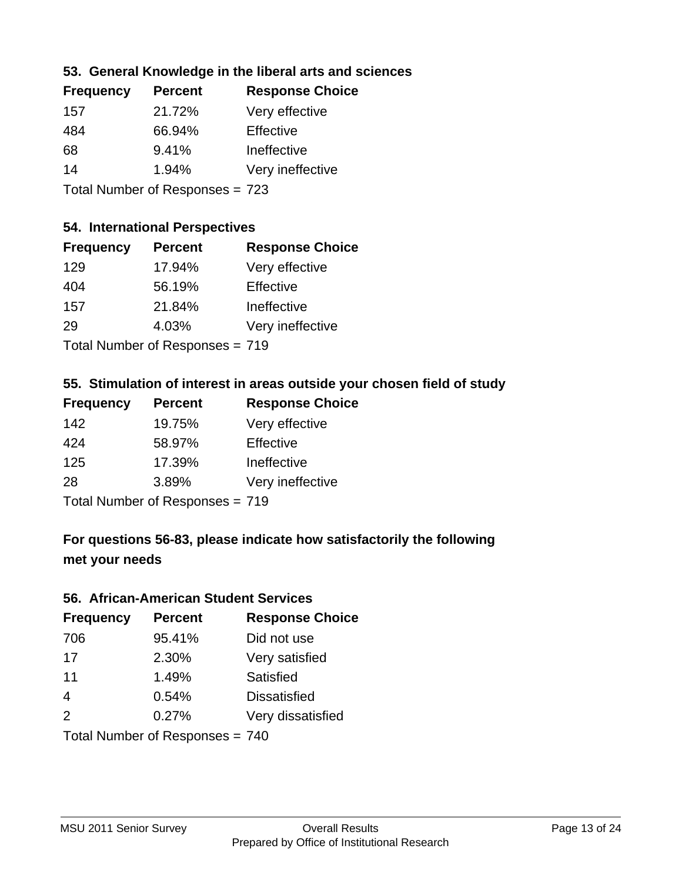### **53. General Knowledge in the liberal arts and sciences**

| <b>Frequency</b>            | <b>Percent</b> | <b>Response Choice</b> |
|-----------------------------|----------------|------------------------|
| 157                         | 21.72%         | Very effective         |
| 484                         | 66.94%         | Effective              |
| 68                          | 9.41%          | Ineffective            |
| 14                          | 1.94%          | Very ineffective       |
| Tatal Mussakers of December |                | ᢇ᠊                     |

Total Number of Responses = 723

### **54. International Perspectives**

| <b>Frequency</b> | <b>Percent</b>                | <b>Response Choice</b> |
|------------------|-------------------------------|------------------------|
| 129              | 17.94%                        | Very effective         |
| 404              | 56.19%                        | Effective              |
| 157              | 21.84%                        | Ineffective            |
| 29               | 4.03%                         | Very ineffective       |
|                  | Total Number of Deepensee 740 |                        |

Total Number of Responses = 719

## **55. Stimulation of interest in areas outside your chosen field of study**

| <b>Frequency</b> | <b>Percent</b>                  | <b>Response Choice</b> |
|------------------|---------------------------------|------------------------|
| 142              | 19.75%                          | Very effective         |
| 424              | 58.97%                          | Effective              |
| 125              | 17.39%                          | Ineffective            |
| 28               | 3.89%                           | Very ineffective       |
|                  | Total Number of Responses = 719 |                        |

## **For questions 56-83, please indicate how satisfactorily the following met your needs**

#### **56. African-American Student Services**

| <b>Frequency</b> | <b>Percent</b>                  | <b>Response Choice</b> |
|------------------|---------------------------------|------------------------|
| 706              | 95.41%                          | Did not use            |
| 17               | 2.30%                           | Very satisfied         |
| 11               | 1.49%                           | Satisfied              |
| $\overline{4}$   | 0.54%                           | <b>Dissatisfied</b>    |
| 2                | 0.27%                           | Very dissatisfied      |
|                  | Total Number of Responses = 740 |                        |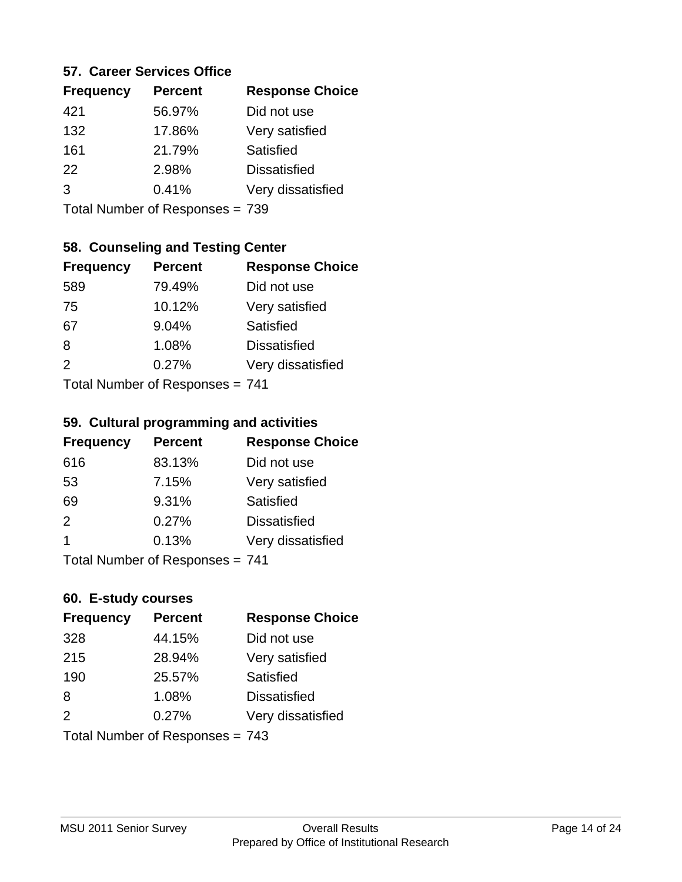### **57. Career Services Office**

| <b>Frequency</b> | <b>Percent</b> | <b>Response Choice</b> |
|------------------|----------------|------------------------|
| 421              | 56.97%         | Did not use            |
| 132              | 17.86%         | Very satisfied         |
| 161              | 21.79%         | Satisfied              |
| 22               | 2.98%          | <b>Dissatisfied</b>    |
| 3                | 0.41%          | Very dissatisfied      |
|                  |                |                        |

Total Number of Responses = 739

## **58. Counseling and Testing Center**

| <b>Frequency</b> | <b>Percent</b>                   | <b>Response Choice</b> |
|------------------|----------------------------------|------------------------|
| 589              | 79.49%                           | Did not use            |
| 75               | 10.12%                           | Very satisfied         |
| 67               | 9.04%                            | <b>Satisfied</b>       |
| 8                | 1.08%                            | <b>Dissatisfied</b>    |
| $\mathcal{P}$    | 0.27%                            | Very dissatisfied      |
|                  | $Total Number of Denonose = 741$ |                        |

Total Number of Responses = 741

#### **59. Cultural programming and activities**

| <b>Frequency</b>          | <b>Percent</b> | <b>Response Choice</b> |
|---------------------------|----------------|------------------------|
| 616                       | 83.13%         | Did not use            |
| 53                        | 7.15%          | Very satisfied         |
| 69                        | 9.31%          | Satisfied              |
| 2                         | 0.27%          | <b>Dissatisfied</b>    |
| -1                        | 0.13%          | Very dissatisfied      |
| Total Number of Desponses |                |                        |

Total Number of Responses = 741

### **60. E-study courses**

| <b>Frequency</b> | <b>Percent</b>                  | <b>Response Choice</b> |
|------------------|---------------------------------|------------------------|
| 328              | 44.15%                          | Did not use            |
| 215              | 28.94%                          | Very satisfied         |
| 190              | 25.57%                          | Satisfied              |
| 8                | 1.08%                           | <b>Dissatisfied</b>    |
| 2                | 0.27%                           | Very dissatisfied      |
|                  | Total Number of Responses = 743 |                        |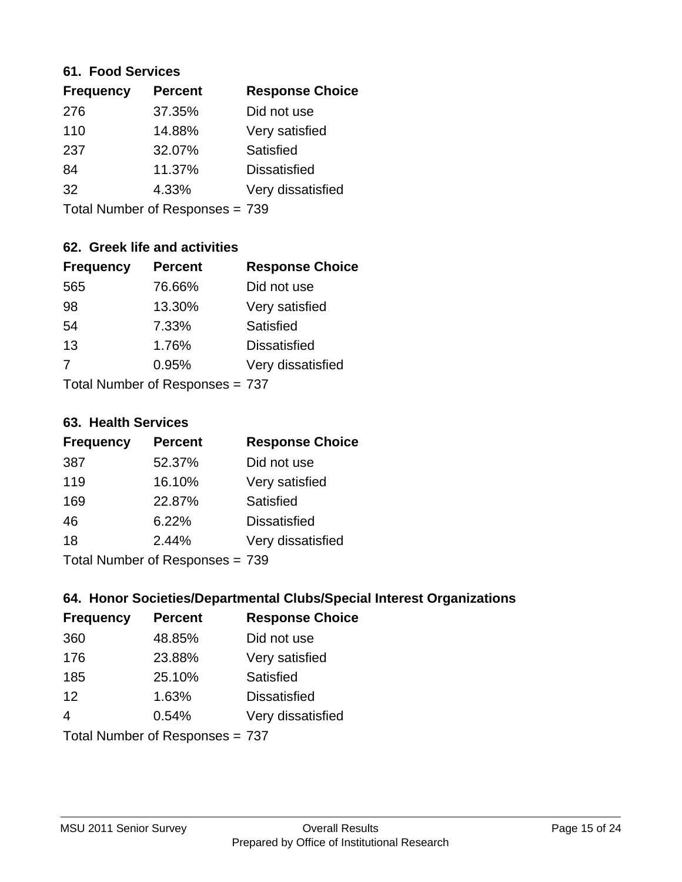### **61. Food Services**

| <b>Frequency</b> | <b>Percent</b> | <b>Response Choice</b> |
|------------------|----------------|------------------------|
| 276              | 37.35%         | Did not use            |
| 110              | 14.88%         | Very satisfied         |
| 237              | 32.07%         | Satisfied              |
| 84               | 11.37%         | <b>Dissatisfied</b>    |
| 32               | 4.33%          | Very dissatisfied      |
|                  |                |                        |

Total Number of Responses = 739

## **62. Greek life and activities**

| <b>Frequency</b> | <b>Percent</b>                  | <b>Response Choice</b> |
|------------------|---------------------------------|------------------------|
| 565              | 76.66%                          | Did not use            |
| 98               | 13.30%                          | Very satisfied         |
| 54               | 7.33%                           | <b>Satisfied</b>       |
| 13               | 1.76%                           | <b>Dissatisfied</b>    |
| 7                | 0.95%                           | Very dissatisfied      |
|                  | Total Number of Responses = 737 |                        |

#### **63. Health Services**

| <b>Frequency</b> | <b>Percent</b>              | <b>Response Choice</b> |
|------------------|-----------------------------|------------------------|
| 387              | 52.37%                      | Did not use            |
| 119              | 16.10%                      | Very satisfied         |
| 169              | 22.87%                      | <b>Satisfied</b>       |
| 46               | 6.22%                       | <b>Dissatisfied</b>    |
| 18               | 2.44%                       | Very dissatisfied      |
|                  | Total Number of Despanses - |                        |

Total Number of Responses = 739

### **64. Honor Societies/Departmental Clubs/Special Interest Organizations**

| <b>Frequency</b> | <b>Percent</b>                  | <b>Response Choice</b> |
|------------------|---------------------------------|------------------------|
| 360              | 48.85%                          | Did not use            |
| 176              | 23.88%                          | Very satisfied         |
| 185              | 25.10%                          | Satisfied              |
| 12               | 1.63%                           | <b>Dissatisfied</b>    |
| 4                | 0.54%                           | Very dissatisfied      |
|                  | Total Number of Responses = 737 |                        |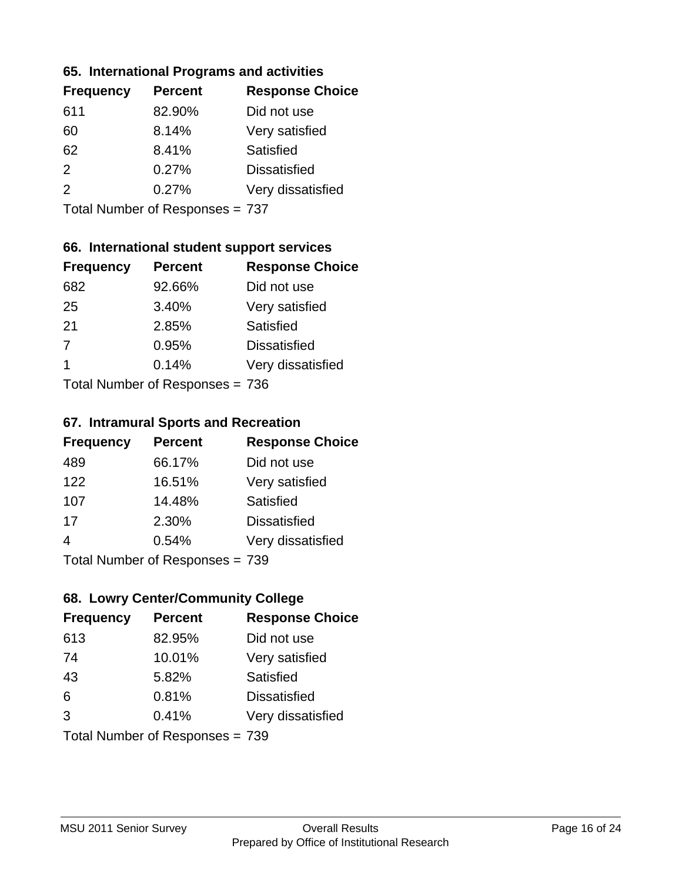### **65. International Programs and activities**

| <b>Frequency</b> | <b>Percent</b> | <b>Response Choice</b> |
|------------------|----------------|------------------------|
| 611              | 82.90%         | Did not use            |
| 60               | 8.14%          | Very satisfied         |
| 62               | 8.41%          | Satisfied              |
| $\mathcal{P}$    | 0.27%          | <b>Dissatisfied</b>    |
| $\mathcal{P}$    | 0.27%          | Very dissatisfied      |
|                  |                |                        |

Total Number of Responses = 737

## **66. International student support services**

| <b>Frequency</b> | <b>Percent</b>                    | <b>Response Choice</b> |
|------------------|-----------------------------------|------------------------|
| 682              | 92.66%                            | Did not use            |
| 25               | 3.40%                             | Very satisfied         |
| 21               | 2.85%                             | <b>Satisfied</b>       |
| 7                | 0.95%                             | <b>Dissatisfied</b>    |
| -1               | 0.14%                             | Very dissatisfied      |
|                  | $Total Number of Doepeneae = 726$ |                        |

Total Number of Responses = 736

### **67. Intramural Sports and Recreation**

| <b>Frequency</b> | <b>Percent</b>                  | <b>Response Choice</b> |
|------------------|---------------------------------|------------------------|
| 489              | 66.17%                          | Did not use            |
| 122              | 16.51%                          | Very satisfied         |
| 107              | 14.48%                          | Satisfied              |
| 17               | 2.30%                           | <b>Dissatisfied</b>    |
| 4                | 0.54%                           | Very dissatisfied      |
|                  | $Total Number of Denonce - 720$ |                        |

Total Number of Responses = 739

## **68. Lowry Center/Community College**

| <b>Frequency</b> | <b>Percent</b>                  | <b>Response Choice</b> |
|------------------|---------------------------------|------------------------|
| 613              | 82.95%                          | Did not use            |
| 74               | 10.01%                          | Very satisfied         |
| 43               | 5.82%                           | Satisfied              |
| 6                | 0.81%                           | <b>Dissatisfied</b>    |
| 3                | 0.41%                           | Very dissatisfied      |
|                  | Total Number of Responses = 739 |                        |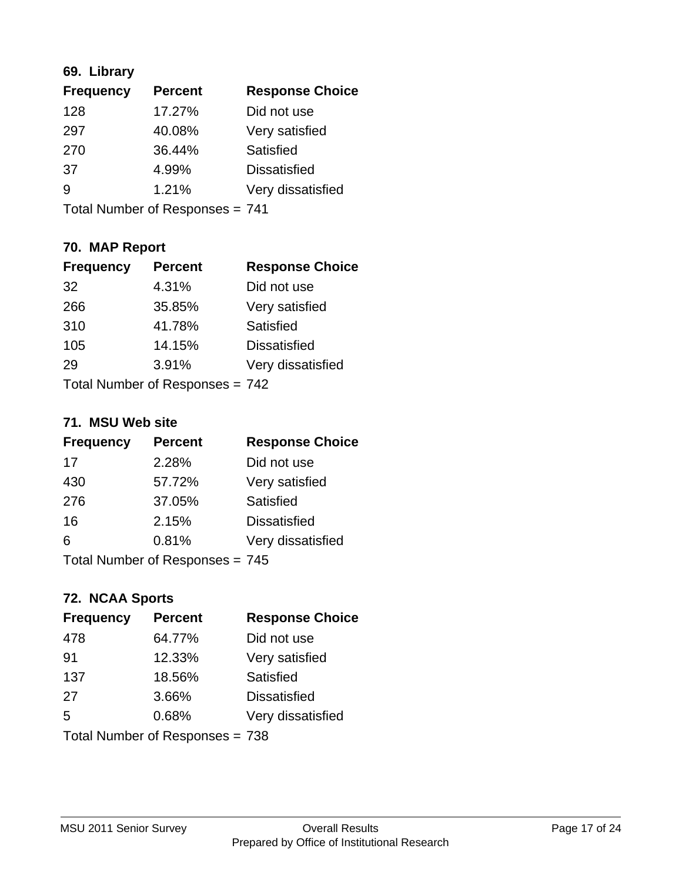## **69. Library**

| <b>Frequency</b> | <b>Percent</b> | <b>Response Choice</b> |
|------------------|----------------|------------------------|
| 128              | 17.27%         | Did not use            |
| 297              | 40.08%         | Very satisfied         |
| 270              | 36.44%         | Satisfied              |
| 37               | 4.99%          | <b>Dissatisfied</b>    |
| 9                | 1.21%          | Very dissatisfied      |
|                  |                |                        |

Total Number of Responses = 741

## **70. MAP Report**

| <b>Frequency</b> | <b>Percent</b>                  | <b>Response Choice</b> |
|------------------|---------------------------------|------------------------|
| 32               | 4.31%                           | Did not use            |
| 266              | 35.85%                          | Very satisfied         |
| 310              | 41.78%                          | Satisfied              |
| 105              | 14.15%                          | <b>Dissatisfied</b>    |
| 29               | 3.91%                           | Very dissatisfied      |
|                  | Total Number of Responses = 742 |                        |

### **71. MSU Web site**

| <b>Frequency</b> | <b>Percent</b>                  | <b>Response Choice</b> |
|------------------|---------------------------------|------------------------|
| 17               | 2.28%                           | Did not use            |
| 430              | 57.72%                          | Very satisfied         |
| 276              | 37.05%                          | Satisfied              |
| 16               | 2.15%                           | <b>Dissatisfied</b>    |
| 6                | 0.81%                           | Very dissatisfied      |
|                  | Total Number of Responses = 745 |                        |

## **72. NCAA Sports**

| <b>Frequency</b> | <b>Percent</b>                  | <b>Response Choice</b> |
|------------------|---------------------------------|------------------------|
| 478              | 64.77%                          | Did not use            |
| 91               | 12.33%                          | Very satisfied         |
| 137              | 18.56%                          | <b>Satisfied</b>       |
| 27               | 3.66%                           | <b>Dissatisfied</b>    |
| 5                | 0.68%                           | Very dissatisfied      |
|                  | Total Number of Responses = 738 |                        |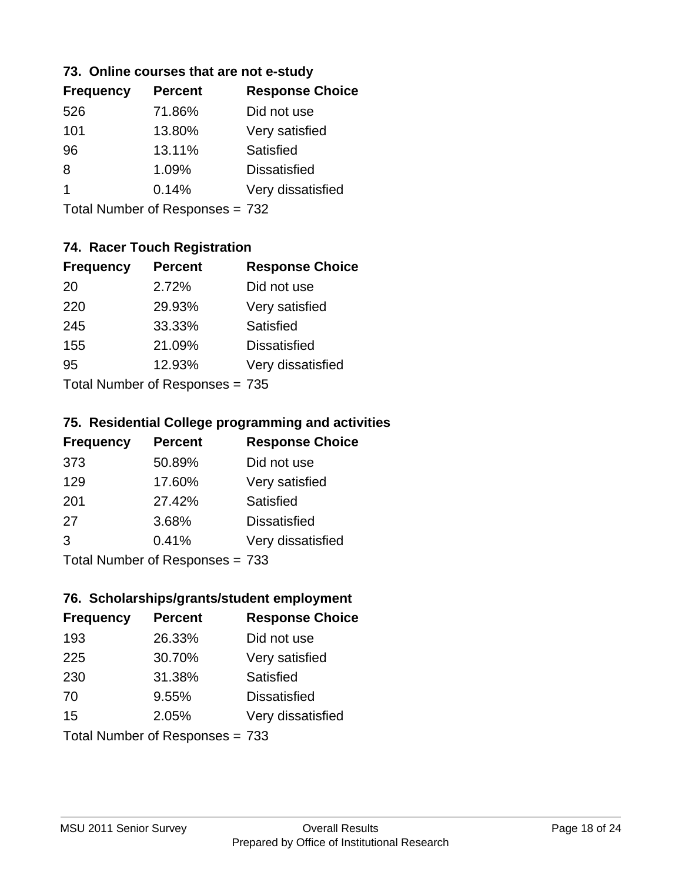### **73. Online courses that are not e-study**

| <b>Frequency</b> | <b>Percent</b> | <b>Response Choice</b> |
|------------------|----------------|------------------------|
| 526              | 71.86%         | Did not use            |
| 101              | 13.80%         | Very satisfied         |
| 96               | 13.11%         | Satisfied              |
| 8                | 1.09%          | <b>Dissatisfied</b>    |
| 1                | 0.14%          | Very dissatisfied      |
|                  |                |                        |

Total Number of Responses = 732

## **74. Racer Touch Registration**

| <b>Frequency</b> | <b>Percent</b>                  | <b>Response Choice</b> |
|------------------|---------------------------------|------------------------|
| 20               | 2.72%                           | Did not use            |
| 220              | 29.93%                          | Very satisfied         |
| 245              | 33.33%                          | Satisfied              |
| 155              | 21.09%                          | <b>Dissatisfied</b>    |
| 95               | 12.93%                          | Very dissatisfied      |
|                  | Total Number of Responses = 735 |                        |

### **75. Residential College programming and activities**

| <b>Frequency</b> | <b>Percent</b>            | <b>Response Choice</b> |
|------------------|---------------------------|------------------------|
| 373              | 50.89%                    | Did not use            |
| 129              | 17.60%                    | Very satisfied         |
| 201              | 27.42%                    | Satisfied              |
| 27               | 3.68%                     | <b>Dissatisfied</b>    |
| 3                | 0.41%                     | Very dissatisfied      |
|                  | Total Number of Desponses |                        |

Total Number of Responses = 733

## **76. Scholarships/grants/student employment**

| <b>Frequency</b> | <b>Percent</b>                  | <b>Response Choice</b> |
|------------------|---------------------------------|------------------------|
| 193              | 26.33%                          | Did not use            |
| 225              | 30.70%                          | Very satisfied         |
| 230              | 31.38%                          | <b>Satisfied</b>       |
| 70               | 9.55%                           | <b>Dissatisfied</b>    |
| 15               | 2.05%                           | Very dissatisfied      |
|                  | Total Number of Responses = 733 |                        |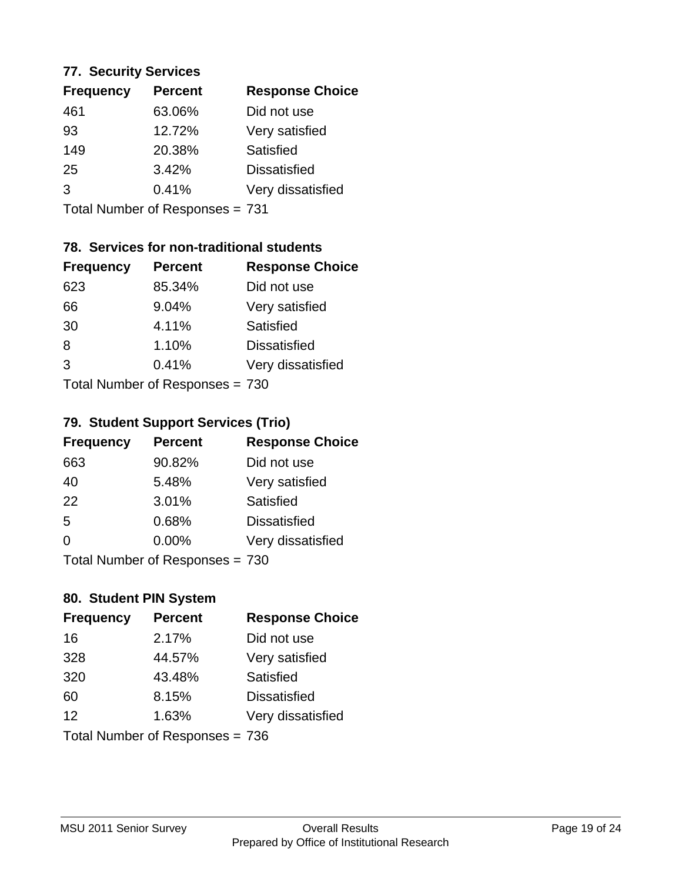### **77. Security Services**

| <b>Percent</b> | <b>Response Choice</b> |
|----------------|------------------------|
| 63.06%         | Did not use            |
| 12.72%         | Very satisfied         |
| 20.38%         | Satisfied              |
| 3.42%          | <b>Dissatisfied</b>    |
| 0.41%          | Very dissatisfied      |
|                |                        |

Total Number of Responses = 731

## **78. Services for non-traditional students**

| <b>Frequency</b>            | <b>Percent</b> | <b>Response Choice</b> |
|-----------------------------|----------------|------------------------|
| 623                         | 85.34%         | Did not use            |
| 66                          | 9.04%          | Very satisfied         |
| 30                          | 4.11%          | <b>Satisfied</b>       |
| 8                           | 1.10%          | <b>Dissatisfied</b>    |
| 3                           | 0.41%          | Very dissatisfied      |
| Total Number of Despasses - |                |                        |

Total Number of Responses = 730

### **79. Student Support Services (Trio)**

| <b>Frequency</b> | <b>Percent</b>                  | <b>Response Choice</b> |
|------------------|---------------------------------|------------------------|
| 663              | 90.82%                          | Did not use            |
| 40               | 5.48%                           | Very satisfied         |
| 22               | 3.01%                           | <b>Satisfied</b>       |
| 5                | 0.68%                           | <b>Dissatisfied</b>    |
| 0                | 0.00%                           | Very dissatisfied      |
|                  | Total Number of Responses = 730 |                        |

### **80. Student PIN System**

| <b>Frequency</b> | <b>Percent</b>                  | <b>Response Choice</b> |
|------------------|---------------------------------|------------------------|
| 16               | 2.17%                           | Did not use            |
| 328              | 44.57%                          | Very satisfied         |
| 320              | 43.48%                          | Satisfied              |
| 60               | 8.15%                           | <b>Dissatisfied</b>    |
| 12               | 1.63%                           | Very dissatisfied      |
|                  | Total Number of Responses = 736 |                        |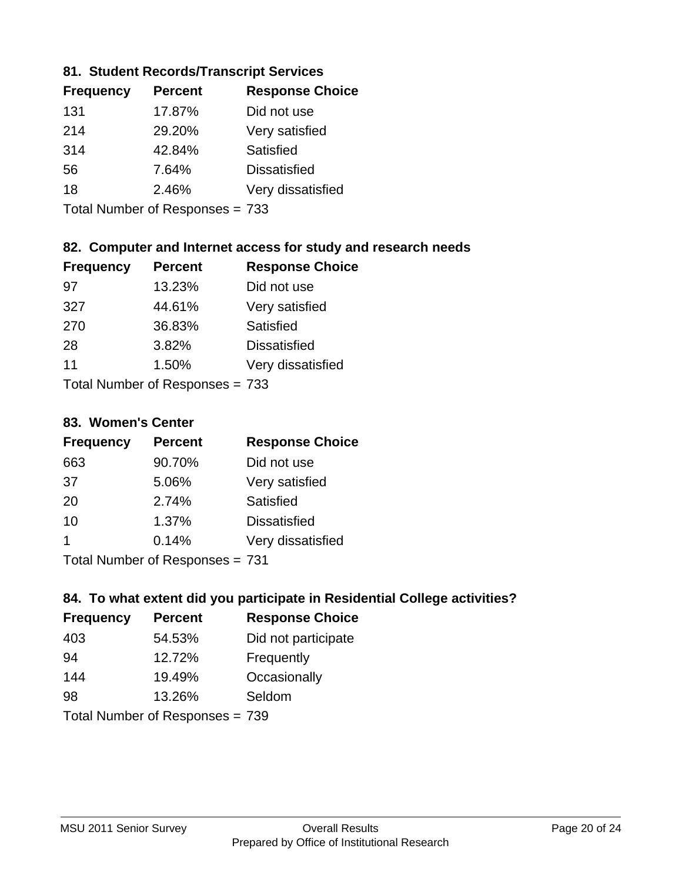### **81. Student Records/Transcript Services**

| <b>Percent</b> | <b>Response Choice</b> |
|----------------|------------------------|
| 17.87%         | Did not use            |
| 29.20%         | Very satisfied         |
| 42.84%         | Satisfied              |
| 7.64%          | <b>Dissatisfied</b>    |
| 2.46%          | Very dissatisfied      |
|                |                        |

Total Number of Responses = 733

### **82. Computer and Internet access for study and research needs**

| <b>Frequency</b>             | <b>Percent</b> | <b>Response Choice</b> |
|------------------------------|----------------|------------------------|
| 97                           | 13.23%         | Did not use            |
| 327                          | 44.61%         | Very satisfied         |
| 270                          | 36.83%         | Satisfied              |
| 28                           | 3.82%          | <b>Dissatisfied</b>    |
| 11                           | 1.50%          | Very dissatisfied      |
| $Total Number of DoEROROR =$ |                |                        |

Total Number of Responses = 733

#### **83. Women's Center**

| <b>Frequency</b> | <b>Percent</b> | <b>Response Choice</b> |
|------------------|----------------|------------------------|
| 663              | 90.70%         | Did not use            |
| 37               | 5.06%          | Very satisfied         |
| 20               | 2.74%          | <b>Satisfied</b>       |
| 10               | 1.37%          | <b>Dissatisfied</b>    |
| 1                | 0.14%          | Very dissatisfied      |
|                  |                |                        |

Total Number of Responses = 731

### **84. To what extent did you participate in Residential College activities?**

| <b>Frequency</b> | <b>Percent</b>                  | <b>Response Choice</b> |
|------------------|---------------------------------|------------------------|
| 403              | 54.53%                          | Did not participate    |
| 94               | 12.72%                          | Frequently             |
| 144              | 19.49%                          | Occasionally           |
| 98               | 13.26%                          | Seldom                 |
|                  | Total Number of Responses = 739 |                        |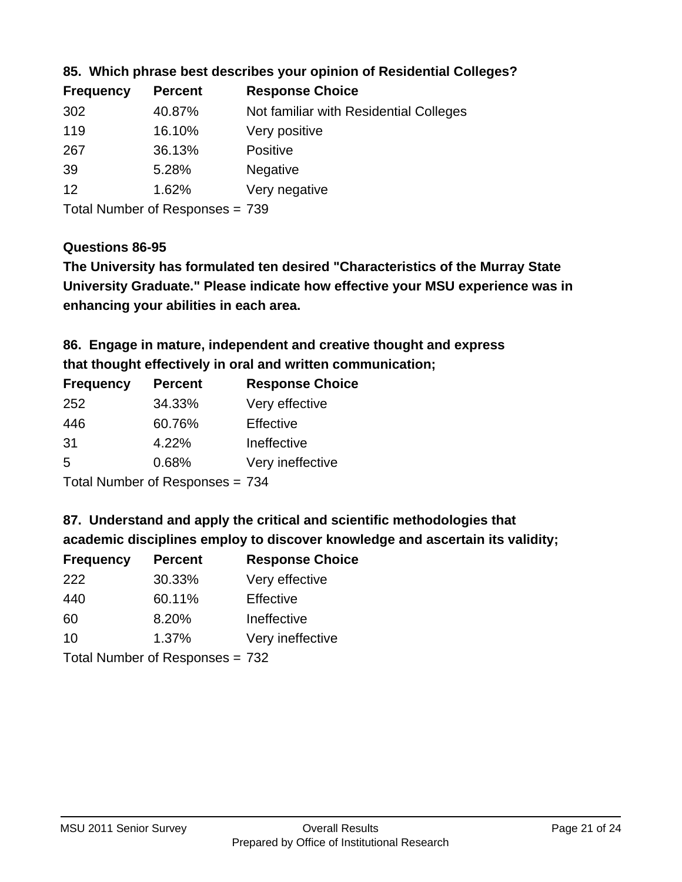| <b>Frequency</b> | <b>Percent</b> | <b>Response Choice</b>                 |
|------------------|----------------|----------------------------------------|
| 302              | 40.87%         | Not familiar with Residential Colleges |
| 119              | 16.10%         | Very positive                          |
| 267              | 36.13%         | Positive                               |
| 39               | 5.28%          | <b>Negative</b>                        |
| 12               | 1.62%          | Very negative                          |
|                  |                |                                        |

### **85. Which phrase best describes your opinion of Residential Colleges?**

Total Number of Responses = 739

### **Questions 86-95**

**University Graduate." Please indicate how effective your MSU experience was in The University has formulated ten desired "Characteristics of the Murray State enhancing your abilities in each area.**

## **86. Engage in mature, independent and creative thought and express that thought effectively in oral and written communication;**

| <b>Frequency</b> | <b>Percent</b> | <b>Response Choice</b> |
|------------------|----------------|------------------------|
| 252              | 34.33%         | Very effective         |
| 446              | 60.76%         | Effective              |
| -31              | 4.22%          | Ineffective            |
| .5               | 0.68%          | Very ineffective       |
|                  |                |                        |

Total Number of Responses = 734

### **87. Understand and apply the critical and scientific methodologies that**

**academic disciplines employ to discover knowledge and ascertain its validity;**

| <b>Frequency</b> | <b>Percent</b>                  | <b>Response Choice</b> |
|------------------|---------------------------------|------------------------|
| 222              | 30.33%                          | Very effective         |
| 440              | 60.11%                          | Effective              |
| 60               | 8.20%                           | Ineffective            |
| 10               | 1.37%                           | Very ineffective       |
|                  | Total Number of Responses = 732 |                        |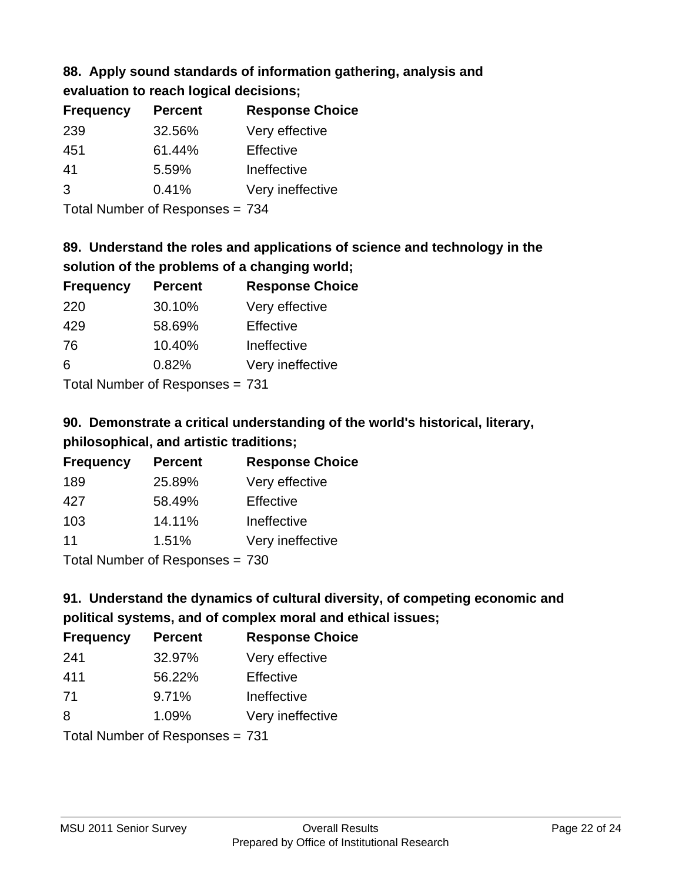#### **88. Apply sound standards of information gathering, analysis and evaluation to reach logical decisions;**

| Craiuation to reach logical accisions, |                |                        |
|----------------------------------------|----------------|------------------------|
| <b>Frequency</b>                       | <b>Percent</b> | <b>Response Choice</b> |
| 239                                    | 32.56%         | Very effective         |
| 451                                    | 61.44%         | Effective              |
| 41                                     | 5.59%          | Ineffective            |
| 3                                      | 0.41%          | Very ineffective       |

Total Number of Responses = 734

## **89. Understand the roles and applications of science and technology in the solution of the problems of a changing world;**

| <b>Frequency</b> | <b>Percent</b>            | <b>Response Choice</b> |
|------------------|---------------------------|------------------------|
| 220              | 30.10%                    | Very effective         |
| 429              | 58.69%                    | Effective              |
| 76               | 10.40%                    | Ineffective            |
| 6                | 0.82%                     | Very ineffective       |
|                  | Total Number of Desponses |                        |

Total Number of Responses = 731

## **90. Demonstrate a critical understanding of the world's historical, literary, philosophical, and artistic traditions;**

| <b>Frequency</b> | <b>Percent</b>             | <b>Response Choice</b> |
|------------------|----------------------------|------------------------|
| 189              | 25.89%                     | Very effective         |
| 427              | 58.49%                     | Effective              |
| 103              | 14.11%                     | Ineffective            |
| 11               | 1.51%                      | Very ineffective       |
|                  | Tatal Number of Desperance | –∽^                    |

Total Number of Responses = 730

## **91. Understand the dynamics of cultural diversity, of competing economic and political systems, and of complex moral and ethical issues;**

| <b>Frequency</b> | <b>Percent</b>                  | <b>Response Choice</b> |
|------------------|---------------------------------|------------------------|
| 241              | 32.97%                          | Very effective         |
| 411              | 56.22%                          | Effective              |
| 71               | 9.71%                           | Ineffective            |
| 8                | 1.09%                           | Very ineffective       |
|                  | Total Number of Responses = 731 |                        |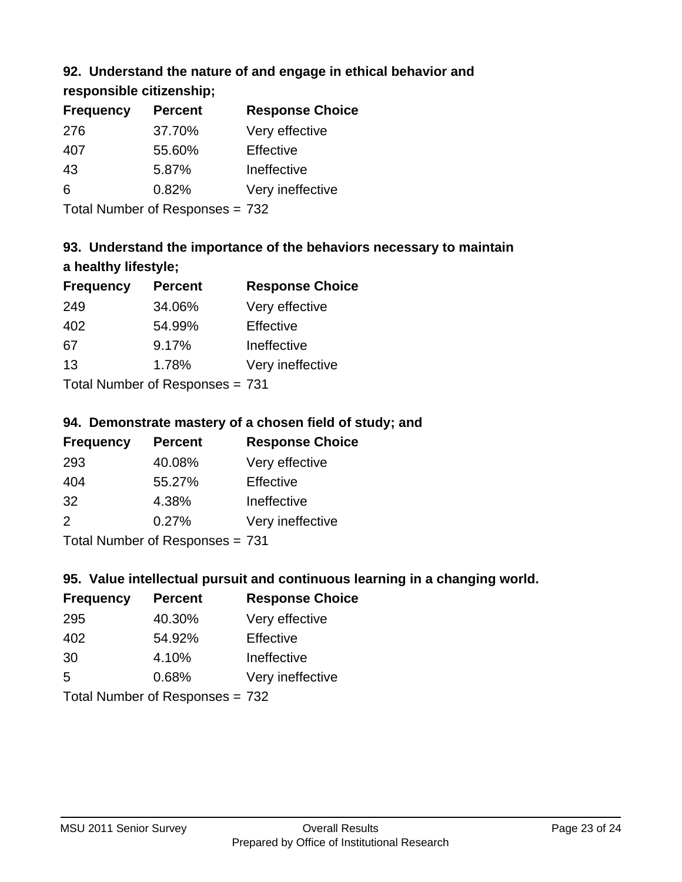## **92. Understand the nature of and engage in ethical behavior and**

**responsible citizenship;**

| <b>Frequency</b> | <b>Percent</b> | <b>Response Choice</b> |
|------------------|----------------|------------------------|
| 276              | 37.70%         | Very effective         |
| 407              | 55.60%         | Effective              |
| 43               | 5.87%          | Ineffective            |
| 6                | 0.82%          | Very ineffective       |
|                  |                |                        |

Total Number of Responses = 732

## **93. Understand the importance of the behaviors necessary to maintain a healthy lifestyle;**

| <b>Frequency</b> | <b>Percent</b>                  | <b>Response Choice</b> |
|------------------|---------------------------------|------------------------|
| 249              | 34.06%                          | Very effective         |
| 402              | 54.99%                          | Effective              |
| 67               | 9.17%                           | Ineffective            |
| 13               | 1.78%                           | Very ineffective       |
|                  | Total Number of Responses = 731 |                        |

## **94. Demonstrate mastery of a chosen field of study; and**

| <b>Frequency</b> | <b>Percent</b> | <b>Response Choice</b> |
|------------------|----------------|------------------------|
| 293              | 40.08%         | Very effective         |
| 404              | 55.27%         | Effective              |
| 32               | 4.38%          | Ineffective            |
| $\mathcal{P}$    | 0.27%          | Very ineffective       |
|                  |                |                        |

Total Number of Responses = 731

## **95. Value intellectual pursuit and continuous learning in a changing world.**

| <b>Frequency</b> | <b>Percent</b>                | <b>Response Choice</b> |
|------------------|-------------------------------|------------------------|
| 295              | 40.30%                        | Very effective         |
| 402              | 54.92%                        | Effective              |
| 30               | 4.10%                         | Ineffective            |
| .5               | 0.68%                         | Very ineffective       |
|                  | $Total Number of Denonce 222$ |                        |

Total Number of Responses = 732